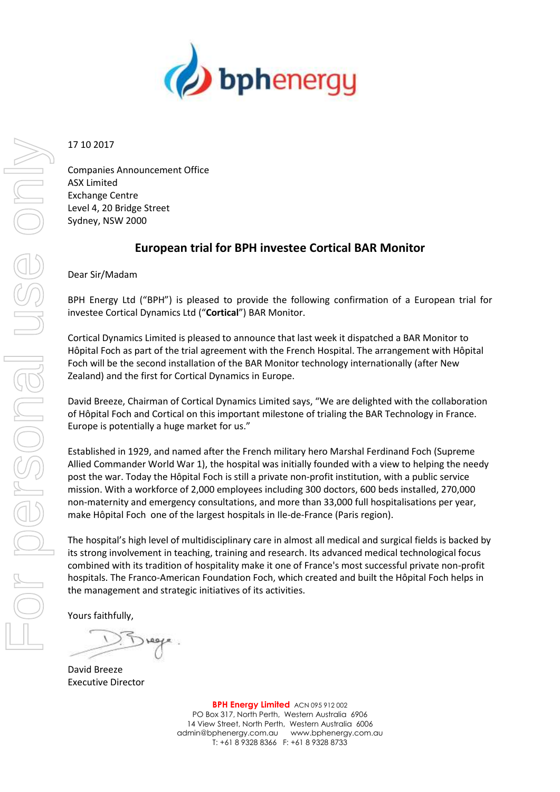

17 10 2017

Companies Announcement Office ASX Limited Exchange Centre Level 4, 20 Bridge Street Sydney, NSW 2000

## **European trial for BPH investee Cortical BAR Monitor**

Dear Sir/Madam

BPH Energy Ltd ("BPH") is pleased to provide the following confirmation of a European trial for investee Cortical Dynamics Ltd ("**Cortical**") BAR Monitor.

Cortical Dynamics Limited is pleased to announce that last week it dispatched a BAR Monitor to Hôpital Foch as part of the trial agreement with the French Hospital. The arrangement with Hôpital Foch will be the second installation of the BAR Monitor technology internationally (after New Zealand) and the first for Cortical Dynamics in Europe.

David Breeze, Chairman of Cortical Dynamics Limited says, "We are delighted with the collaboration of Hôpital Foch and Cortical on this important milestone of trialing the BAR Technology in France. Europe is potentially a huge market for us."

Established in 1929, and named after the French military hero Marshal Ferdinand Foch (Supreme Allied Commander World War 1), the hospital was initially founded with a view to helping the needy post the war. Today the Hôpital Foch is still a private non-profit institution, with a public service mission. With a workforce of 2,000 employees including 300 doctors, 600 beds installed, 270,000 non-maternity and emergency consultations, and more than 33,000 full hospitalisations per year, make Hôpital Foch one of the largest hospitals in Ile-de-France (Paris region).

The hospital's high level of multidisciplinary care in almost all medical and surgical fields is backed by its strong involvement in teaching, training and research. Its advanced medical technological focus combined with its tradition of hospitality make it one of France's most successful private non-profit hospitals. The Franco-American Foundation Foch, which created and built the Hôpital Foch helps in the management and strategic initiatives of its activities.

Yours faithfully,

David Breeze Executive Director

**BPH Energy Limited** ACN 095 912 002 PO Box 317, North Perth, Western Australia 6906 14 View Street, North Perth, Western Australia 6006 admin@bphenergy.com.au www.bphenergy.com.au T: +61 8 9328 8366 F: +61 8 9328 8733